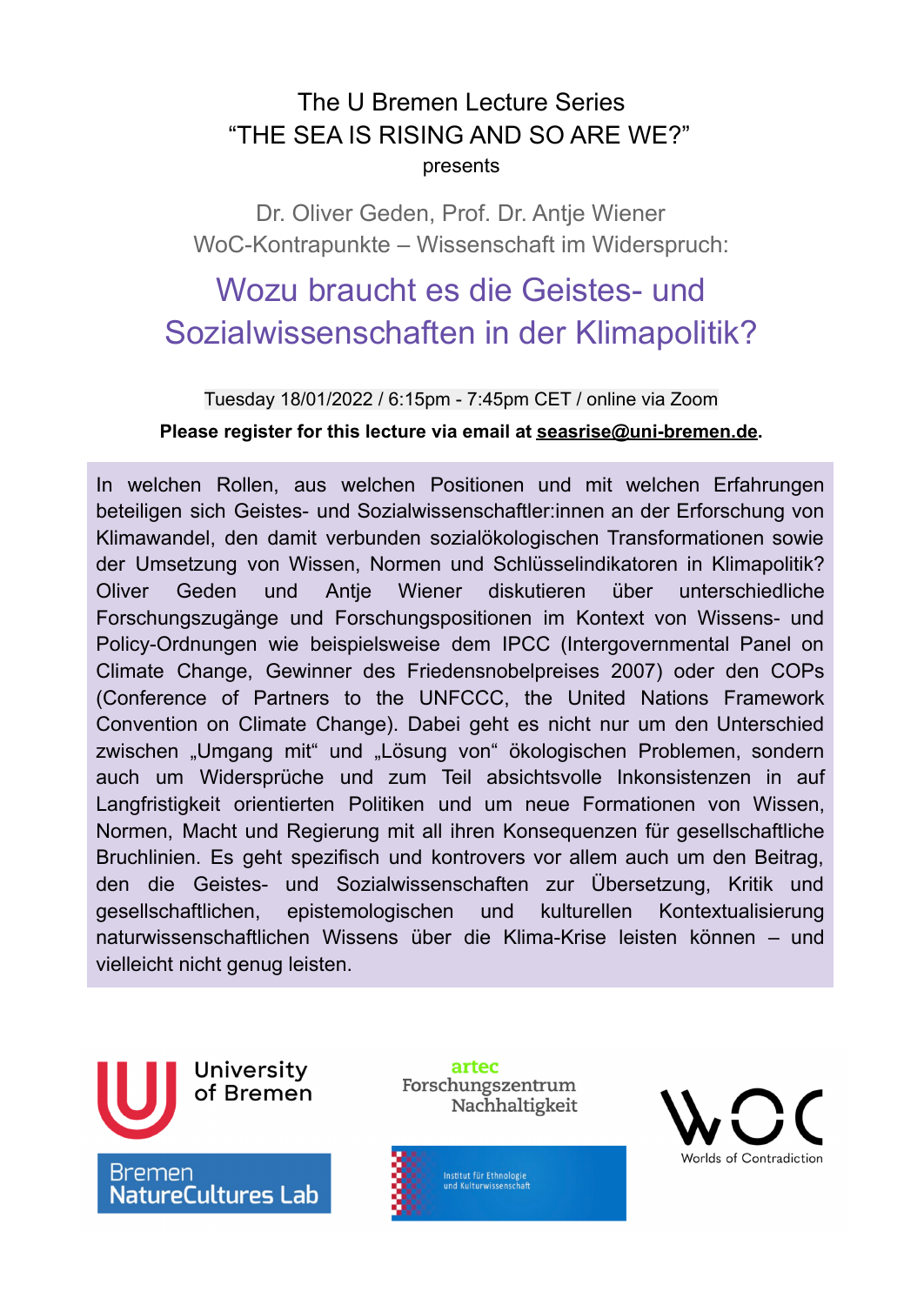## The U Bremen Lecture Series "THE SEA IS RISING AND SO ARE WE?" presents

Dr. Oliver Geden, Prof. Dr. Antje Wiener WoC-Kontrapunkte – Wissenschaft im Widerspruch:

## Wozu braucht es die Geistes- und Sozialwissenschaften in der Klimapolitik?

Tuesday 18/01/2022 / 6:15pm - 7:45pm CET / online via Zoom

**Please register for this lecture via email at [seasrise@uni-bremen.de.](mailto:seasrise@uni-bremen.de)**

In welchen Rollen, aus welchen Positionen und mit welchen Erfahrungen beteiligen sich Geistes- und Sozialwissenschaftler:innen an der Erforschung von Klimawandel, den damit verbunden sozialökologischen Transformationen sowie der Umsetzung von Wissen, Normen und Schlüsselindikatoren in Klimapolitik? Oliver Geden und Antje Wiener diskutieren über unterschiedliche Forschungszugänge und Forschungspositionen im Kontext von Wissens- und Policy-Ordnungen wie beispielsweise dem IPCC (Intergovernmental Panel on Climate Change, Gewinner des Friedensnobelpreises 2007) oder den COPs (Conference of Partners to the UNFCCC, the United Nations Framework Convention on Climate Change). Dabei geht es nicht nur um den Unterschied zwischen "Umgang mit" und "Lösung von" ökologischen Problemen, sondern auch um Widersprüche und zum Teil absichtsvolle Inkonsistenzen in auf Langfristigkeit orientierten Politiken und um neue Formationen von Wissen, Normen, Macht und Regierung mit all ihren Konsequenzen für gesellschaftliche Bruchlinien. Es geht spezifisch und kontrovers vor allem auch um den Beitrag, den die Geistes- und Sozialwissenschaften zur Übersetzung, Kritik und gesellschaftlichen, epistemologischen und kulturellen Kontextualisierung naturwissenschaftlichen Wissens über die Klima-Krise leisten können – und vielleicht nicht genug leisten.



artec Forschungszentrum Nachhaltigkeit